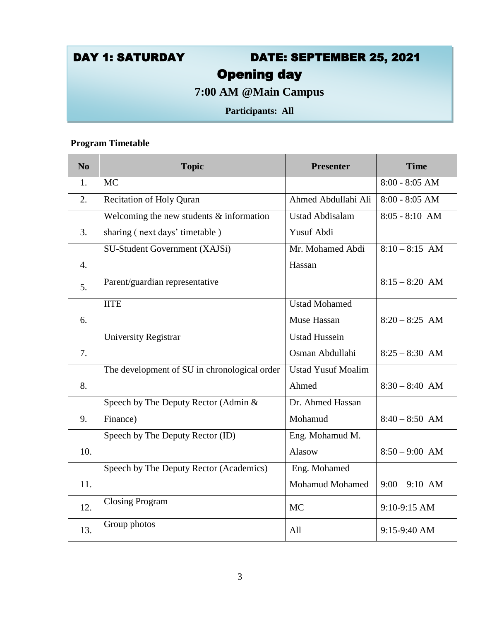# DAY 1: SATURDAY DATE: SEPTEMBER 25, 2021 Opening day

**7:00 AM @Main Campus**

**Participants: All**

#### **Program Timetable**

| N <sub>0</sub>   | <b>Topic</b>                                 | <b>Presenter</b>          | <b>Time</b>      |
|------------------|----------------------------------------------|---------------------------|------------------|
| 1.               | <b>MC</b>                                    |                           | $8:00 - 8:05$ AM |
| 2.               | <b>Recitation of Holy Quran</b>              | Ahmed Abdullahi Ali       | $8:00 - 8:05$ AM |
|                  | Welcoming the new students $&$ information   | <b>Ustad Abdisalam</b>    | $8:05 - 8:10$ AM |
| 3.               | sharing (next days' timetable)               | Yusuf Abdi                |                  |
|                  | SU-Student Government (XAJSi)                | Mr. Mohamed Abdi          | $8:10 - 8:15$ AM |
| $\overline{4}$ . |                                              | Hassan                    |                  |
| 5.               | Parent/guardian representative               |                           | $8:15 - 8:20$ AM |
|                  | <b>IITE</b>                                  | <b>Ustad Mohamed</b>      |                  |
| 6.               |                                              | Muse Hassan               | $8:20 - 8:25$ AM |
|                  | <b>University Registrar</b>                  | <b>Ustad Hussein</b>      |                  |
| 7.               |                                              | Osman Abdullahi           | $8:25 - 8:30$ AM |
|                  | The development of SU in chronological order | <b>Ustad Yusuf Moalim</b> |                  |
| 8.               |                                              | Ahmed                     | $8:30 - 8:40$ AM |
|                  | Speech by The Deputy Rector (Admin &         | Dr. Ahmed Hassan          |                  |
| 9.               | Finance)                                     | Mohamud                   | $8:40 - 8:50$ AM |
|                  | Speech by The Deputy Rector (ID)             | Eng. Mohamud M.           |                  |
| 10.              |                                              | <b>Alasow</b>             | $8:50 - 9:00$ AM |
|                  | Speech by The Deputy Rector (Academics)      | Eng. Mohamed              |                  |
| 11.              |                                              | <b>Mohamud Mohamed</b>    | $9:00 - 9:10$ AM |
| 12.              | <b>Closing Program</b>                       | MC                        | 9:10-9:15 AM     |
| 13.              | Group photos                                 | All                       | 9:15-9:40 AM     |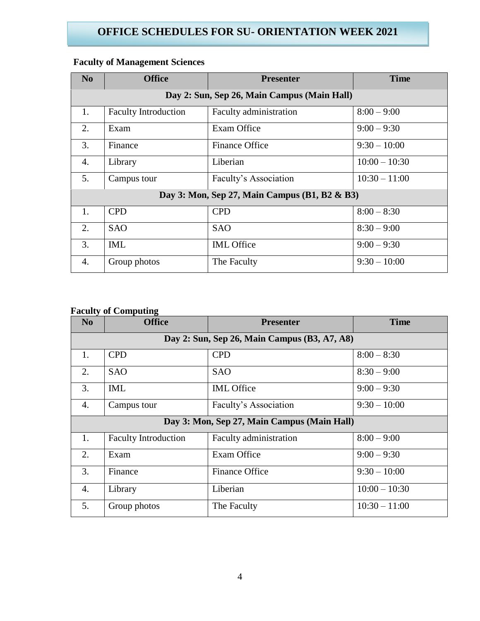| No | <b>Office</b>                               | <b>Presenter</b>                              | <b>Time</b>     |  |
|----|---------------------------------------------|-----------------------------------------------|-----------------|--|
|    | Day 2: Sun, Sep 26, Main Campus (Main Hall) |                                               |                 |  |
| 1. | <b>Faculty Introduction</b>                 | Faculty administration                        | $8:00 - 9:00$   |  |
| 2. | Exam                                        | Exam Office                                   | $9:00 - 9:30$   |  |
| 3. | Finance                                     | <b>Finance Office</b>                         | $9:30 - 10:00$  |  |
| 4. | Library                                     | Liberian                                      | $10:00 - 10:30$ |  |
| 5. | Campus tour                                 | Faculty's Association                         | $10:30 - 11:00$ |  |
|    |                                             | Day 3: Mon, Sep 27, Main Campus (B1, B2 & B3) |                 |  |
| 1. | <b>CPD</b>                                  | <b>CPD</b>                                    | $8:00 - 8:30$   |  |
| 2. | <b>SAO</b>                                  | <b>SAO</b>                                    | $8:30 - 9:00$   |  |
| 3. | <b>IML</b>                                  | <b>IML</b> Office                             | $9:00 - 9:30$   |  |
| 4. | Group photos                                | The Faculty                                   | $9:30 - 10:00$  |  |

## **Faculty of Management Sciences**

#### **Faculty of Computing**

| N <sub>o</sub> | <b>Office</b>                                | <b>Presenter</b>                            | <b>Time</b>     |  |  |
|----------------|----------------------------------------------|---------------------------------------------|-----------------|--|--|
|                | Day 2: Sun, Sep 26, Main Campus (B3, A7, A8) |                                             |                 |  |  |
| 1.             | <b>CPD</b>                                   | <b>CPD</b>                                  | $8:00 - 8:30$   |  |  |
| 2.             | <b>SAO</b>                                   | <b>SAO</b>                                  | $8:30 - 9:00$   |  |  |
| 3.             | IML                                          | <b>IML</b> Office                           | $9:00 - 9:30$   |  |  |
| 4.             | Campus tour                                  | Faculty's Association                       | $9:30 - 10:00$  |  |  |
|                |                                              | Day 3: Mon, Sep 27, Main Campus (Main Hall) |                 |  |  |
| 1.             | <b>Faculty Introduction</b>                  | Faculty administration                      | $8:00 - 9:00$   |  |  |
| 2.             | Exam                                         | Exam Office                                 | $9:00 - 9:30$   |  |  |
| 3.             | Finance                                      | <b>Finance Office</b>                       | $9:30 - 10:00$  |  |  |
| 4.             | Library                                      | Liberian                                    | $10:00 - 10:30$ |  |  |
| 5.             | Group photos                                 | The Faculty                                 | $10:30 - 11:00$ |  |  |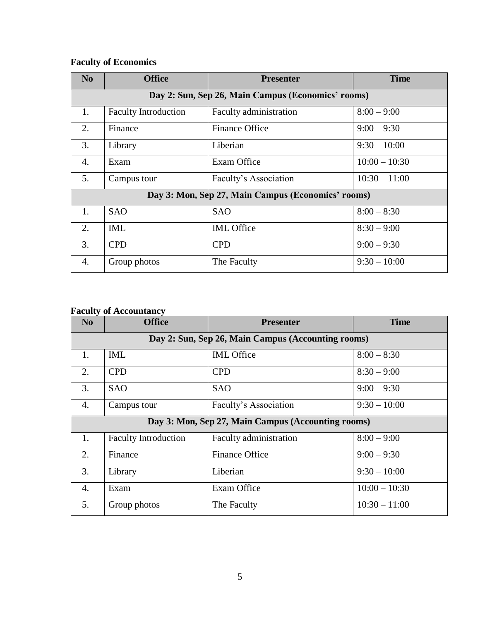## **Faculty of Economics**

| N <sub>0</sub> | <b>Office</b>                                      | <b>Presenter</b>       | <b>Time</b>     |  |
|----------------|----------------------------------------------------|------------------------|-----------------|--|
|                | Day 2: Sun, Sep 26, Main Campus (Economics' rooms) |                        |                 |  |
| 1.             | <b>Faculty Introduction</b>                        | Faculty administration | $8:00 - 9:00$   |  |
| 2.             | Finance                                            | <b>Finance Office</b>  | $9:00 - 9:30$   |  |
| 3.             | Library                                            | Liberian               | $9:30 - 10:00$  |  |
| 4.             | Exam                                               | Exam Office            | $10:00 - 10:30$ |  |
| 5.             | Campus tour                                        | Faculty's Association  | $10:30 - 11:00$ |  |
|                | Day 3: Mon, Sep 27, Main Campus (Economics' rooms) |                        |                 |  |
| 1.             | <b>SAO</b>                                         | <b>SAO</b>             | $8:00 - 8:30$   |  |
| 2.             | <b>IML</b>                                         | <b>IML</b> Office      | $8:30 - 9:00$   |  |
| 3.             | <b>CPD</b>                                         | <b>CPD</b>             | $9:00 - 9:30$   |  |
| 4.             | Group photos                                       | The Faculty            | $9:30 - 10:00$  |  |

#### **Faculty of Accountancy**

| <u>ັປ</u><br>No | <b>Office</b>                                      | <b>Presenter</b>                                   | <b>Time</b>     |  |  |
|-----------------|----------------------------------------------------|----------------------------------------------------|-----------------|--|--|
|                 | Day 2: Sun, Sep 26, Main Campus (Accounting rooms) |                                                    |                 |  |  |
| 1.              | <b>IML</b>                                         | <b>IML</b> Office                                  | $8:00 - 8:30$   |  |  |
| 2.              | <b>CPD</b>                                         | <b>CPD</b>                                         | $8:30 - 9:00$   |  |  |
| 3.              | <b>SAO</b>                                         | <b>SAO</b>                                         | $9:00 - 9:30$   |  |  |
| 4.              | Campus tour                                        | Faculty's Association                              | $9:30 - 10:00$  |  |  |
|                 |                                                    | Day 3: Mon, Sep 27, Main Campus (Accounting rooms) |                 |  |  |
| 1.              | <b>Faculty Introduction</b>                        | Faculty administration                             | $8:00 - 9:00$   |  |  |
| 2.              | Finance                                            | <b>Finance Office</b>                              | $9:00 - 9:30$   |  |  |
| 3.              | Library                                            | Liberian                                           | $9:30 - 10:00$  |  |  |
| 4.              | Exam                                               | Exam Office                                        | $10:00 - 10:30$ |  |  |
| 5.              | Group photos                                       | The Faculty                                        | $10:30 - 11:00$ |  |  |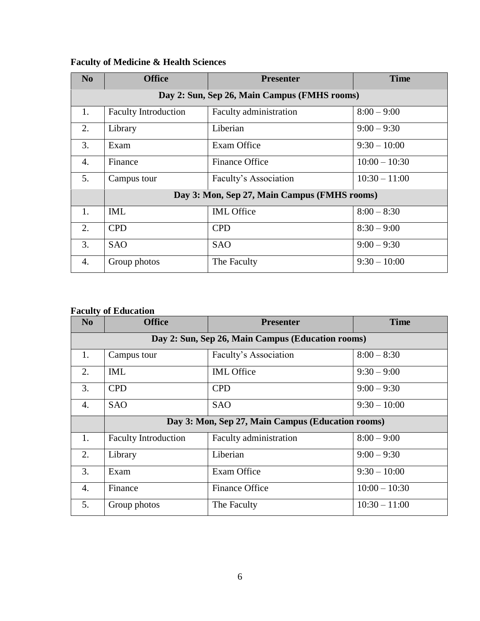| N <sub>o</sub> | <b>Office</b>                                | <b>Presenter</b>       | <b>Time</b>     |  |  |
|----------------|----------------------------------------------|------------------------|-----------------|--|--|
|                | Day 2: Sun, Sep 26, Main Campus (FMHS rooms) |                        |                 |  |  |
| 1.             | <b>Faculty Introduction</b>                  | Faculty administration | $8:00 - 9:00$   |  |  |
| 2.             | Library                                      | Liberian               | $9:00 - 9:30$   |  |  |
| 3.             | Exam                                         | Exam Office            | $9:30 - 10:00$  |  |  |
| 4.             | Finance                                      | <b>Finance Office</b>  | $10:00 - 10:30$ |  |  |
| 5.             | Campus tour                                  | Faculty's Association  | $10:30 - 11:00$ |  |  |
|                | Day 3: Mon, Sep 27, Main Campus (FMHS rooms) |                        |                 |  |  |
| 1.             | <b>IML</b>                                   | <b>IML</b> Office      | $8:00 - 8:30$   |  |  |
| 2.             | <b>CPD</b>                                   | <b>CPD</b>             | $8:30 - 9:00$   |  |  |
| 3.             | <b>SAO</b>                                   | <b>SAO</b>             | $9:00 - 9:30$   |  |  |
| 4.             | Group photos                                 | The Faculty            | $9:30 - 10:00$  |  |  |

## **Faculty of Medicine & Health Sciences**

#### **Faculty of Education**

| N <sub>o</sub>   | <b>Office</b>                                     | <b>Presenter</b>       | <b>Time</b>     |  |  |
|------------------|---------------------------------------------------|------------------------|-----------------|--|--|
|                  | Day 2: Sun, Sep 26, Main Campus (Education rooms) |                        |                 |  |  |
| 1.               | Campus tour                                       | Faculty's Association  | $8:00 - 8:30$   |  |  |
| 2.               | <b>IML</b>                                        | <b>IML</b> Office      | $9:30 - 9:00$   |  |  |
| 3.               | <b>CPD</b>                                        | <b>CPD</b>             | $9:00 - 9:30$   |  |  |
| 4.               | <b>SAO</b>                                        | <b>SAO</b>             | $9:30 - 10:00$  |  |  |
|                  | Day 3: Mon, Sep 27, Main Campus (Education rooms) |                        |                 |  |  |
| 1.               | <b>Faculty Introduction</b>                       | Faculty administration | $8:00 - 9:00$   |  |  |
| 2.               | Library                                           | Liberian               | $9:00 - 9:30$   |  |  |
| 3.               | Exam                                              | Exam Office            | $9:30 - 10:00$  |  |  |
| $\overline{4}$ . | Finance                                           | <b>Finance Office</b>  | $10:00 - 10:30$ |  |  |
| 5.               | Group photos                                      | The Faculty            | $10:30 - 11:00$ |  |  |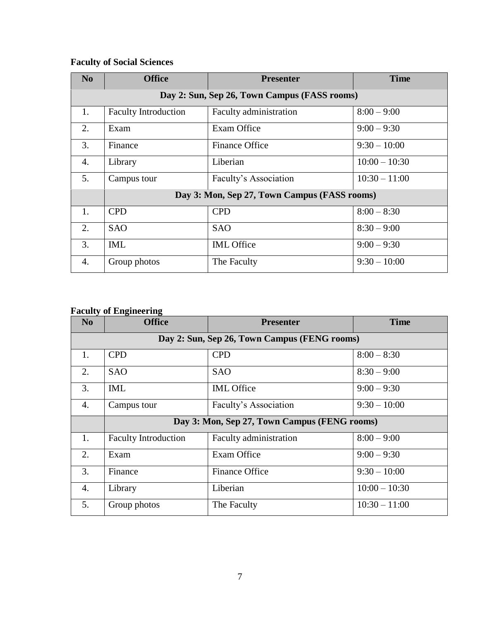# **Faculty of Social Sciences**

| N <sub>0</sub> | <b>Office</b>                                | <b>Presenter</b>       | <b>Time</b>     |  |  |
|----------------|----------------------------------------------|------------------------|-----------------|--|--|
|                | Day 2: Sun, Sep 26, Town Campus (FASS rooms) |                        |                 |  |  |
| 1.             | <b>Faculty Introduction</b>                  | Faculty administration | $8:00 - 9:00$   |  |  |
| 2.             | Exam                                         | Exam Office            | $9:00 - 9:30$   |  |  |
| 3.             | Finance                                      | <b>Finance Office</b>  | $9:30 - 10:00$  |  |  |
| 4.             | Library                                      | Liberian               | $10:00 - 10:30$ |  |  |
| 5.             | Campus tour                                  | Faculty's Association  | $10:30 - 11:00$ |  |  |
|                | Day 3: Mon, Sep 27, Town Campus (FASS rooms) |                        |                 |  |  |
| 1.             | <b>CPD</b>                                   | <b>CPD</b>             | $8:00 - 8:30$   |  |  |
| 2.             | <b>SAO</b>                                   | <b>SAO</b>             | $8:30 - 9:00$   |  |  |
| 3.             | <b>IML</b>                                   | <b>IML</b> Office      | $9:00 - 9:30$   |  |  |
| 4.             | Group photos                                 | The Faculty            | $9:30 - 10:00$  |  |  |

### **Faculty of Engineering**

| N <sub>0</sub>   | o<br><b>Office</b>                           | <b>Presenter</b>       | <b>Time</b>     |  |  |
|------------------|----------------------------------------------|------------------------|-----------------|--|--|
|                  | Day 2: Sun, Sep 26, Town Campus (FENG rooms) |                        |                 |  |  |
| 1.               | <b>CPD</b>                                   | <b>CPD</b>             | $8:00 - 8:30$   |  |  |
| 2.               | <b>SAO</b>                                   | <b>SAO</b>             | $8:30 - 9:00$   |  |  |
| 3.               | IML                                          | <b>IML</b> Office      | $9:00 - 9:30$   |  |  |
| 4.               | Campus tour                                  | Faculty's Association  | $9:30 - 10:00$  |  |  |
|                  | Day 3: Mon, Sep 27, Town Campus (FENG rooms) |                        |                 |  |  |
| 1.               | <b>Faculty Introduction</b>                  | Faculty administration | $8:00 - 9:00$   |  |  |
| 2.               | Exam                                         | Exam Office            | $9:00 - 9:30$   |  |  |
| $\overline{3}$ . | Finance                                      | <b>Finance Office</b>  | $9:30 - 10:00$  |  |  |
| $\overline{4}$ . | Library                                      | Liberian               | $10:00 - 10:30$ |  |  |
| 5.               | Group photos                                 | The Faculty            | $10:30 - 11:00$ |  |  |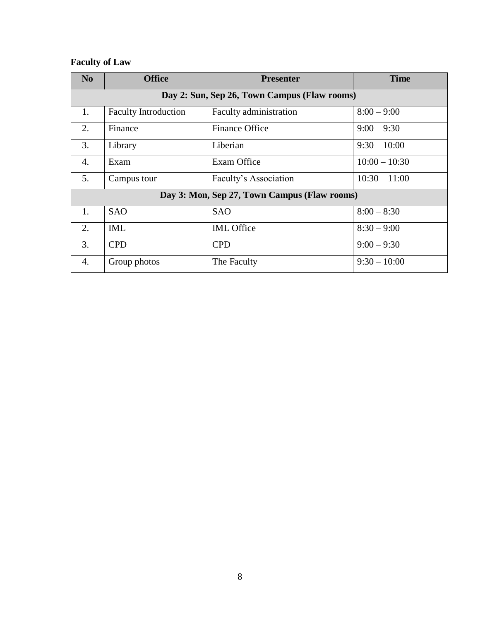## **Faculty of Law**

| No | <b>Office</b>                                | <b>Presenter</b>       | <b>Time</b>     |  |
|----|----------------------------------------------|------------------------|-----------------|--|
|    | Day 2: Sun, Sep 26, Town Campus (Flaw rooms) |                        |                 |  |
| 1. | <b>Faculty Introduction</b>                  | Faculty administration | $8:00 - 9:00$   |  |
| 2. | Finance                                      | Finance Office         | $9:00 - 9:30$   |  |
| 3. | Library                                      | Liberian               | $9:30 - 10:00$  |  |
| 4. | Exam                                         | Exam Office            | $10:00 - 10:30$ |  |
| 5. | Campus tour                                  | Faculty's Association  | $10:30 - 11:00$ |  |
|    | Day 3: Mon, Sep 27, Town Campus (Flaw rooms) |                        |                 |  |
| 1. | <b>SAO</b>                                   | <b>SAO</b>             | $8:00 - 8:30$   |  |
| 2. | <b>IML</b>                                   | <b>IML</b> Office      | $8:30 - 9:00$   |  |
| 3. | <b>CPD</b>                                   | <b>CPD</b>             | $9:00 - 9:30$   |  |
| 4. | Group photos                                 | The Faculty            | $9:30 - 10:00$  |  |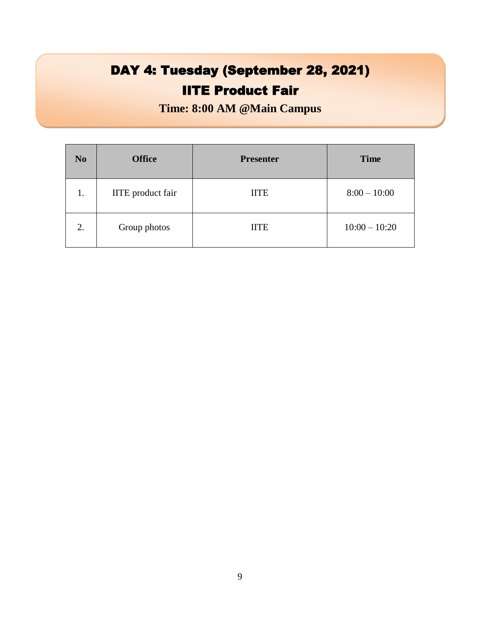# DAY 4: Tuesday (September 28, 2021) **IITE Product Fair**

**Time: 8:00 AM @Main Campus**

| N <sub>o</sub> | <b>Office</b>            | <b>Presenter</b> | <b>Time</b>     |
|----------------|--------------------------|------------------|-----------------|
| 1.             | <b>IITE</b> product fair | <b>IITE</b>      | $8:00 - 10:00$  |
| 2.             | Group photos             | <b>IITE</b>      | $10:00 - 10:20$ |